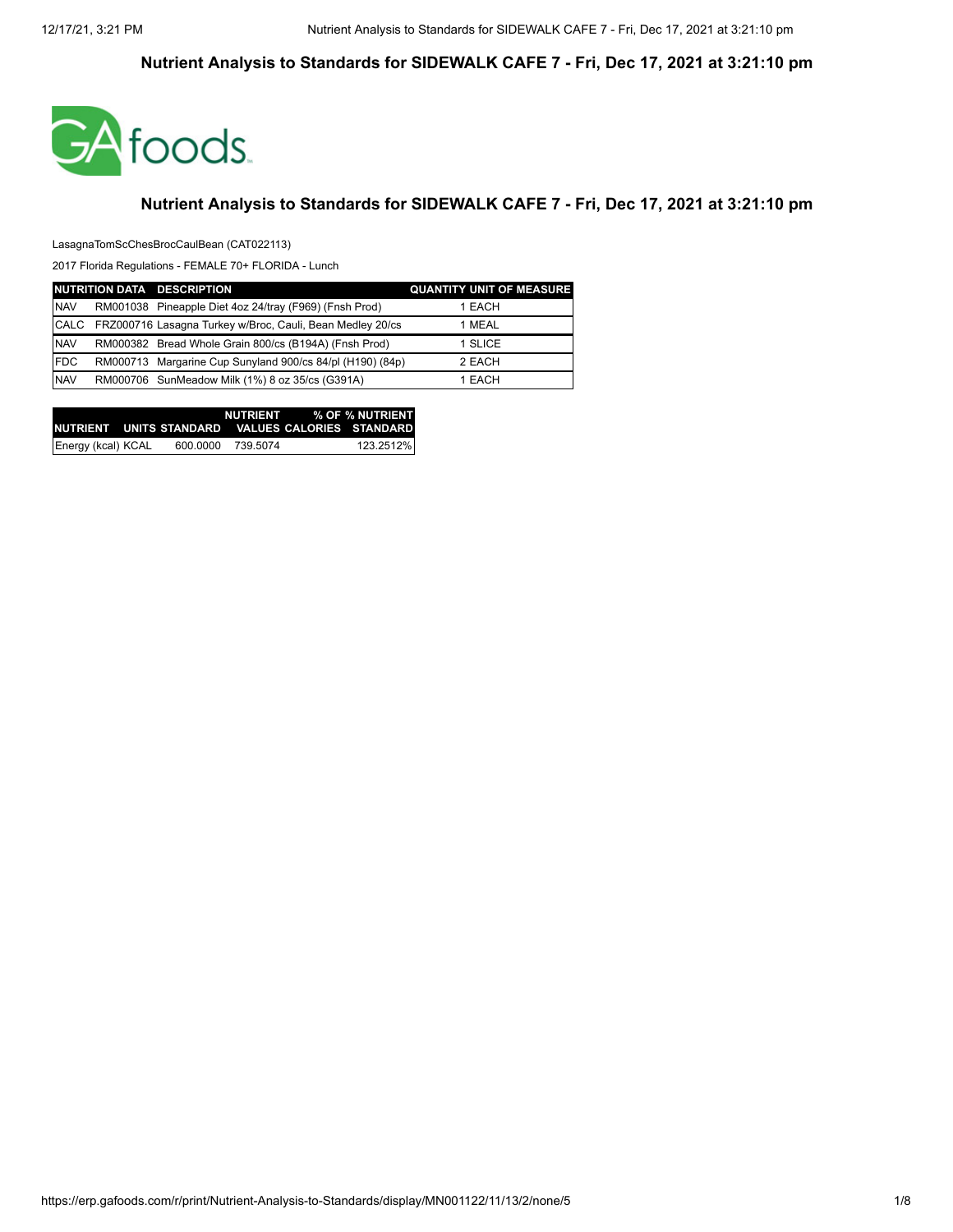

#### **Nutrient Analysis to Standards for SIDEWALK CAFE 7 - Fri, Dec 17, 2021 at 3:21:10 pm**

LasagnaTomScChesBrocCaulBean (CAT022113)

|            | NUTRITION DATA DESCRIPTION                                     | <b>QUANTITY UNIT OF MEASURE</b> |
|------------|----------------------------------------------------------------|---------------------------------|
| <b>NAV</b> | RM001038 Pineapple Diet 4oz 24/tray (F969) (Fnsh Prod)         | 1 EACH                          |
|            | CALC FRZ000716 Lasagna Turkey w/Broc, Cauli, Bean Medley 20/cs | 1 MEAL                          |
| <b>NAV</b> | RM000382 Bread Whole Grain 800/cs (B194A) (Fnsh Prod)          | 1 SLICE                         |
| <b>FDC</b> | RM000713 Margarine Cup Sunyland 900/cs 84/pl (H190) (84p)      | 2 EACH                          |
| <b>NAV</b> | RM000706 SunMeadow Milk (1%) 8 oz 35/cs (G391A)                | 1 EACH                          |

|                    |          |          | NUTRIENT % OF % NUTRIENT<br>INUTRIENT UNITS STANDARD VALUES CALORIES STANDARDI |
|--------------------|----------|----------|--------------------------------------------------------------------------------|
| Energy (kcal) KCAL | 600.0000 | 739.5074 | 123.2512%                                                                      |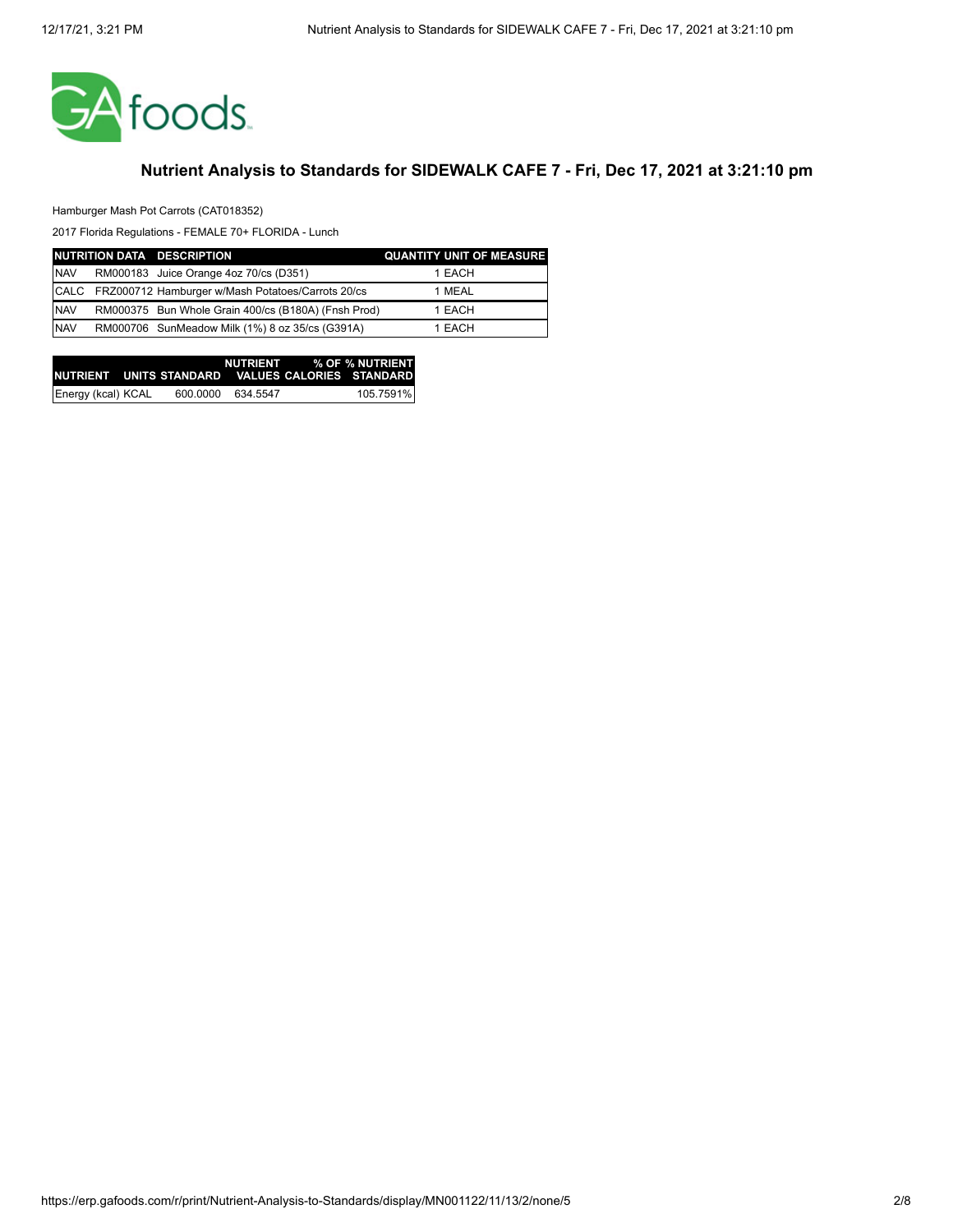

Hamburger Mash Pot Carrots (CAT018352)

|            | NUTRITION DATA DESCRIPTION                             | <b>QUANTITY UNIT OF MEASURE</b> |
|------------|--------------------------------------------------------|---------------------------------|
| <b>NAV</b> | RM000183 Juice Orange 4oz 70/cs (D351)                 | 1 EACH                          |
|            | CALC FRZ000712 Hamburger w/Mash Potatoes/Carrots 20/cs | 1 MEAL                          |
| <b>NAV</b> | RM000375 Bun Whole Grain 400/cs (B180A) (Fnsh Prod)    | 1 EACH                          |
| <b>NAV</b> | RM000706 SunMeadow Milk (1%) 8 oz 35/cs (G391A)        | 1 EACH                          |

|                    |          |          | NUTRIENT % OF % NUTRIENT<br>INUTRIENT UNITS STANDARD VALUES CALORIES STANDARDI |
|--------------------|----------|----------|--------------------------------------------------------------------------------|
| Energy (kcal) KCAL | 600.0000 | 634.5547 | 105.7591%                                                                      |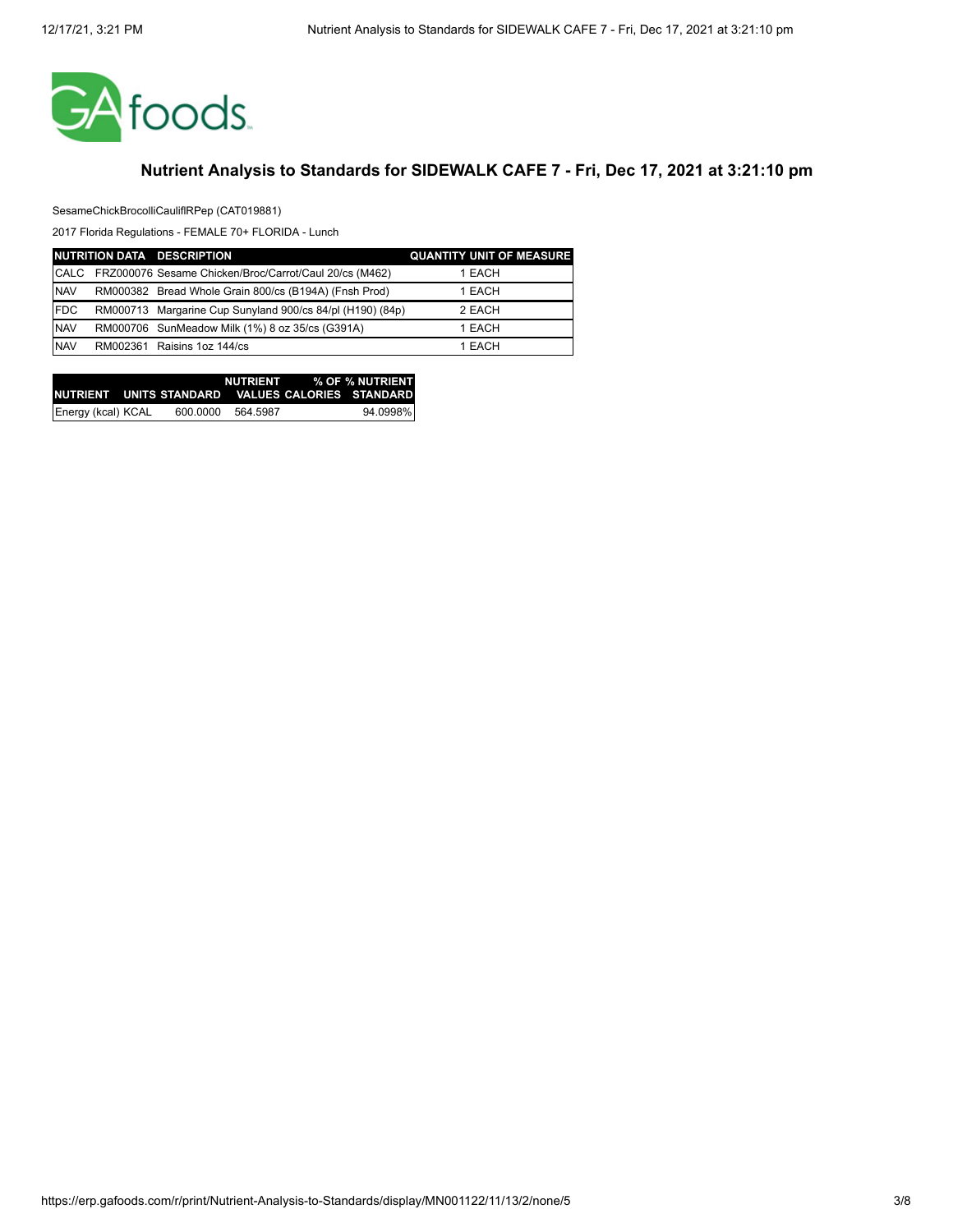

SesameChickBrocolliCauliflRPep (CAT019881)

|             | NUTRITION DATA DESCRIPTION                                | <b>QUANTITY UNIT OF MEASURE</b> |
|-------------|-----------------------------------------------------------|---------------------------------|
| <b>CALC</b> | FRZ000076 Sesame Chicken/Broc/Carrot/Caul 20/cs (M462)    | 1 EACH                          |
| <b>NAV</b>  | RM000382 Bread Whole Grain 800/cs (B194A) (Fnsh Prod)     | 1 EACH                          |
| <b>FDC</b>  | RM000713 Margarine Cup Sunyland 900/cs 84/pl (H190) (84p) | 2 EACH                          |
| <b>NAV</b>  | RM000706 SunMeadow Milk (1%) 8 oz 35/cs (G391A)           | 1 EACH                          |
| <b>NAV</b>  | RM002361 Raisins 1oz 144/cs                               | 1 EACH                          |

|                    |          |          | NUTRIENT % OF % NUTRIENT                            |
|--------------------|----------|----------|-----------------------------------------------------|
|                    |          |          | INUTRIENT UNITS STANDARD VALUES CALORIES STANDARD I |
| Energy (kcal) KCAL | 600.0000 | 564.5987 | 94.0998%                                            |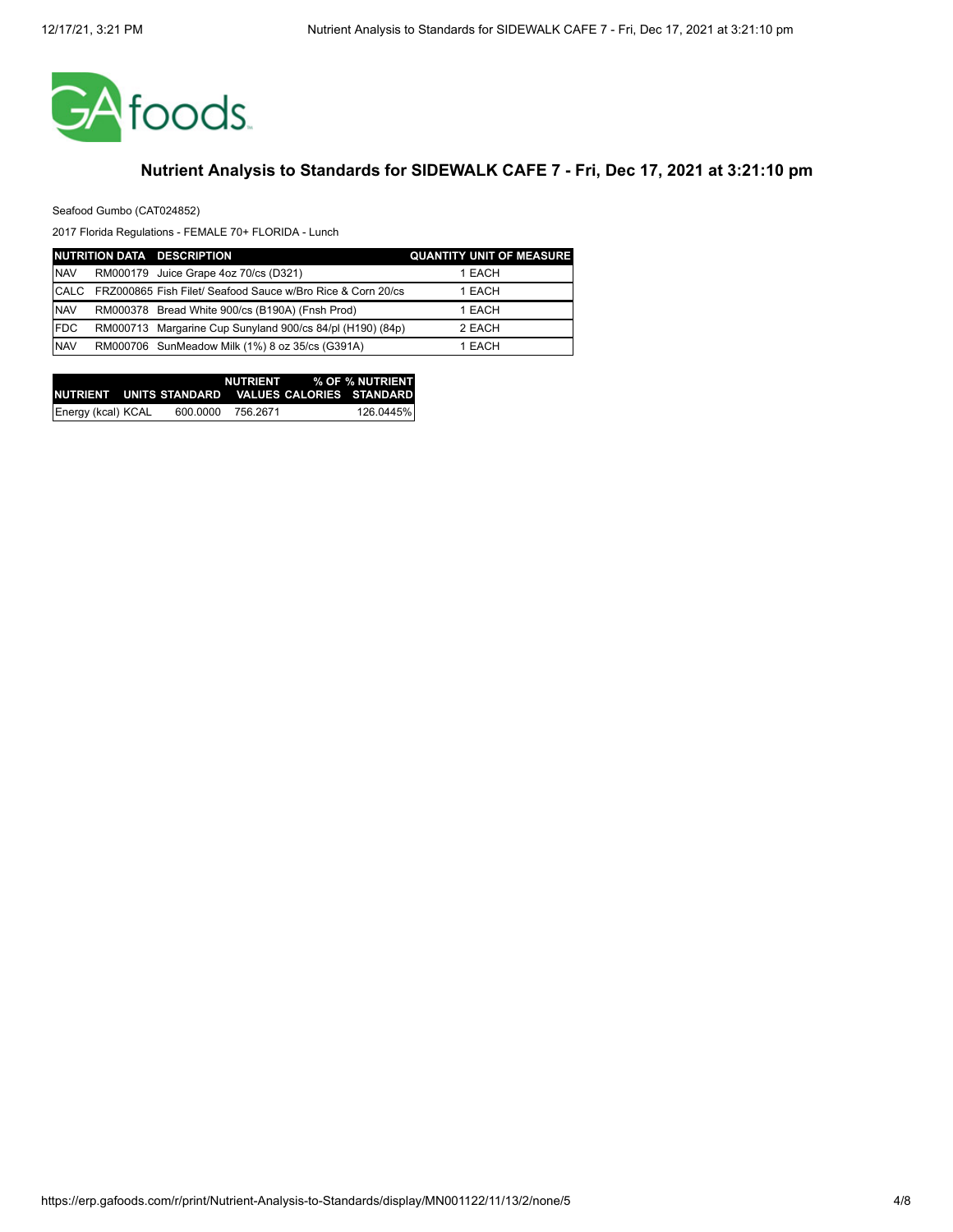

Seafood Gumbo (CAT024852)

|             | NUTRITION DATA DESCRIPTION                                  | <b>QUANTITY UNIT OF MEASURE</b> |
|-------------|-------------------------------------------------------------|---------------------------------|
| <b>NAV</b>  | RM000179 Juice Grape 4oz 70/cs (D321)                       | 1 EACH                          |
| <b>CALC</b> | FRZ000865 Fish Filet/ Seafood Sauce w/Bro Rice & Corn 20/cs | 1 EACH                          |
| <b>NAV</b>  | RM000378 Bread White 900/cs (B190A) (Fnsh Prod)             | 1 EACH                          |
| <b>FDC</b>  | RM000713 Margarine Cup Sunyland 900/cs 84/pl (H190) (84p)   | 2 EACH                          |
| <b>NAV</b>  | RM000706 SunMeadow Milk (1%) 8 oz 35/cs (G391A)             | 1 EACH                          |

|                    |          |          | NUTRIENT % OF % NUTRIENT                           |
|--------------------|----------|----------|----------------------------------------------------|
|                    |          |          | INUTRIENT UNITS STANDARD VALUES CALORIES STANDARD. |
| Energy (kcal) KCAL | 600.0000 | 756.2671 | 126.0445%                                          |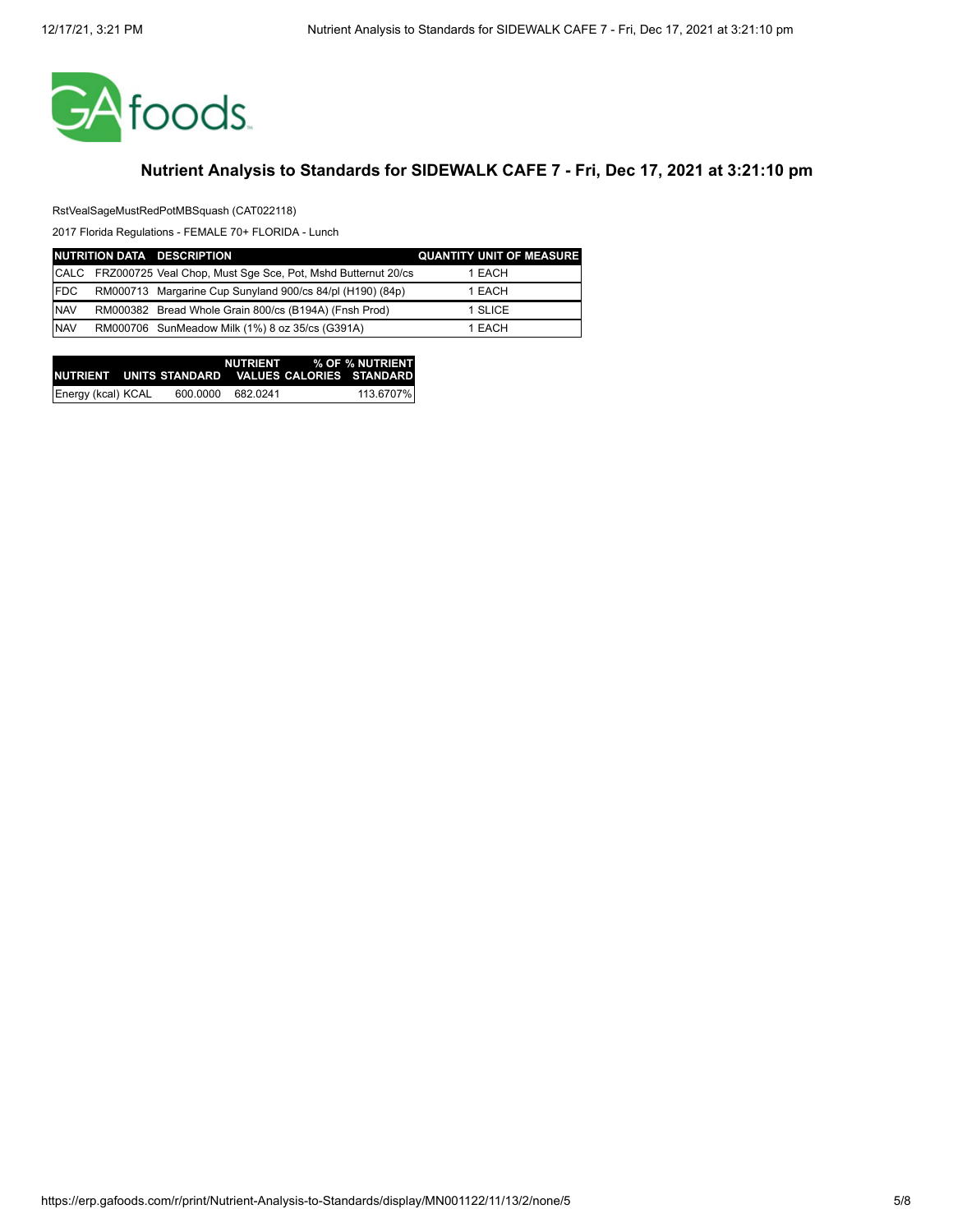

RstVealSageMustRedPotMBSquash (CAT022118)

|             | NUTRITION DATA DESCRIPTION                                        | <b>QUANTITY UNIT OF MEASURE</b> |
|-------------|-------------------------------------------------------------------|---------------------------------|
|             | CALC FRZ000725 Veal Chop, Must Sqe Sce, Pot, Mshd Butternut 20/cs | 1 EACH                          |
| <b>IFDC</b> | RM000713 Margarine Cup Sunyland 900/cs 84/pl (H190) (84p)         | 1 EACH                          |
| <b>NAV</b>  | RM000382 Bread Whole Grain 800/cs (B194A) (Fnsh Prod)             | 1 SLICE                         |
| <b>NAV</b>  | RM000706 SunMeadow Milk (1%) 8 oz 35/cs (G391A)                   | 1 EACH                          |

|                    |          |          | NUTRIENT % OF % NUTRIENT<br>INUTRIENT UNITS STANDARD VALUES CALORIES STANDARD I |
|--------------------|----------|----------|---------------------------------------------------------------------------------|
| Energy (kcal) KCAL | 600.0000 | 682.0241 | 113.6707%                                                                       |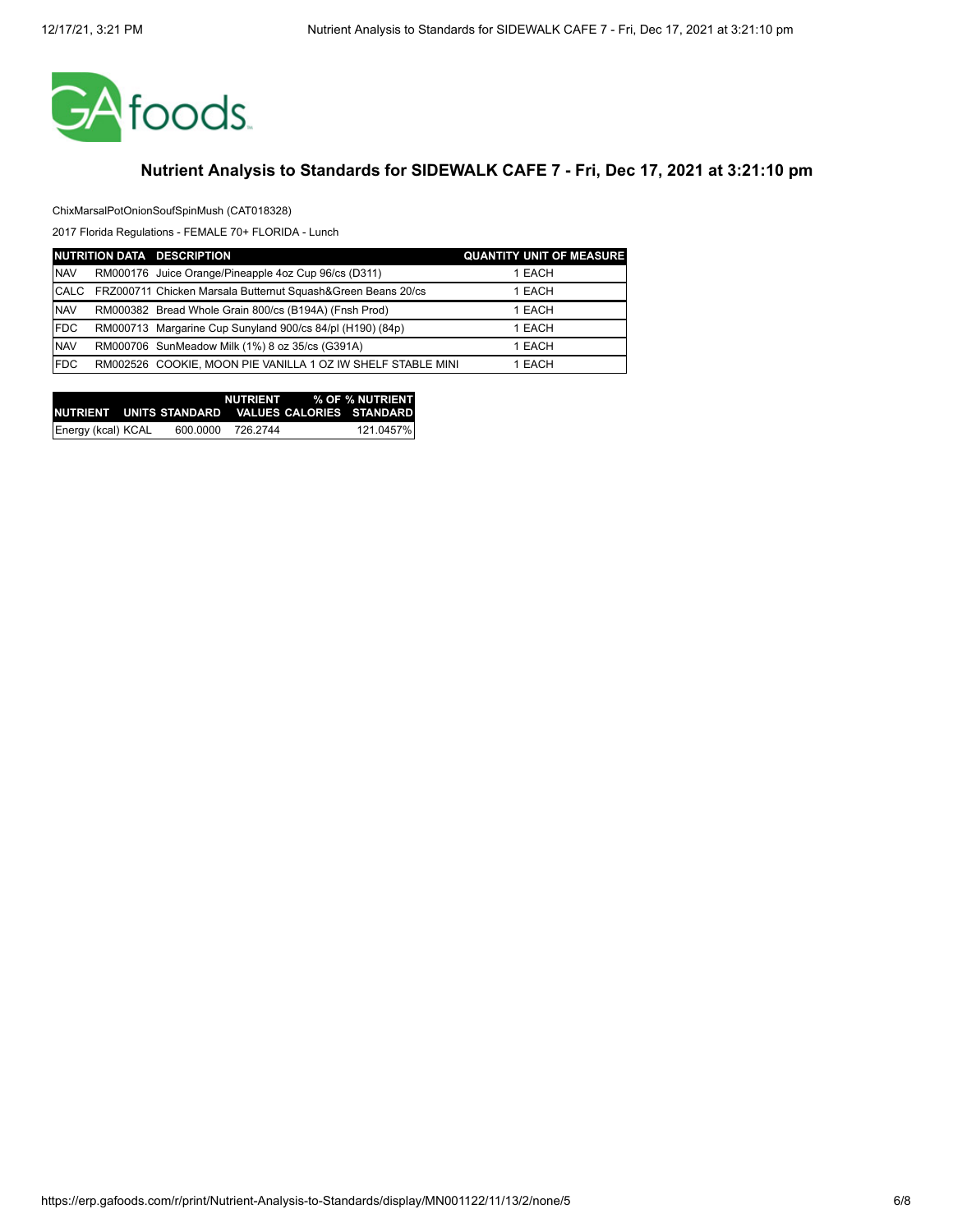

#### ChixMarsalPotOnionSoufSpinMush (CAT018328)

|             | NUTRITION DATA DESCRIPTION                                   | <b>QUANTITY UNIT OF MEASURE</b> |
|-------------|--------------------------------------------------------------|---------------------------------|
| <b>NAV</b>  | RM000176 Juice Orange/Pineapple 4oz Cup 96/cs (D311)         | 1 EACH                          |
| <b>CALC</b> | FRZ000711 Chicken Marsala Butternut Squash&Green Beans 20/cs | 1 EACH                          |
| <b>NAV</b>  | RM000382 Bread Whole Grain 800/cs (B194A) (Fnsh Prod)        | 1 EACH                          |
| <b>FDC</b>  | RM000713 Margarine Cup Sunyland 900/cs 84/pl (H190) (84p)    | 1 EACH                          |
| <b>NAV</b>  | RM000706 SunMeadow Milk (1%) 8 oz 35/cs (G391A)              | 1 EACH                          |
| <b>FDC</b>  | RM002526 COOKIE, MOON PIE VANILLA 1 OZ IW SHELF STABLE MINI  | 1 EACH                          |

|                    |          |          | NUTRIENT % OF % NUTRIENT                           |
|--------------------|----------|----------|----------------------------------------------------|
|                    |          |          | INUTRIENT UNITS STANDARD VALUES CALORIES STANDARDI |
| Energy (kcal) KCAL | 600.0000 | 726.2744 | 121.0457%                                          |